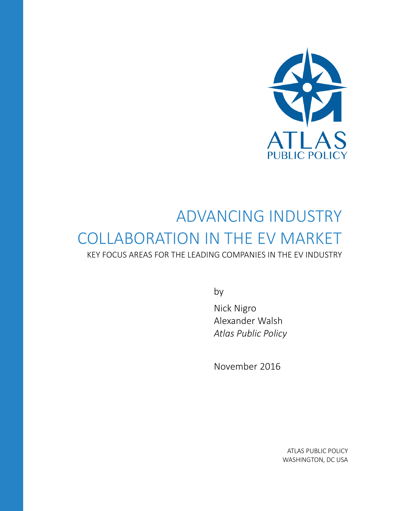

# ADVANCING INDUSTRY COLLABORATION IN THE EV MARKET

KEY FOCUS AREAS FOR THE LEADING COMPANIES IN THE EV INDUSTRY

by

Nick Nigro Alexander Walsh *Atlas Public Policy*

November 2016

ATLAS PUBLIC POLICY WASHINGTON, DC USA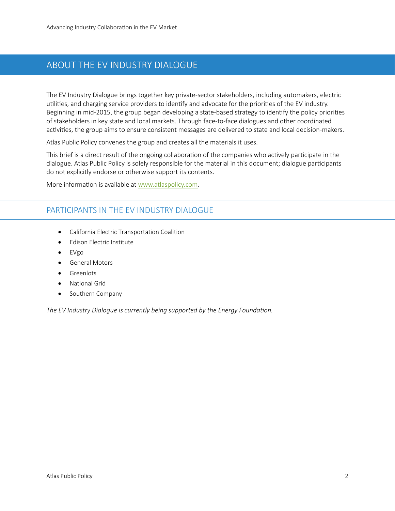## ABOUT THE EV INDUSTRY DIALOGUE

The EV Industry Dialogue brings together key private-sector stakeholders, including automakers, electric utilities, and charging service providers to identify and advocate for the priorities of the EV industry. Beginning in mid-2015, the group began developing a state-based strategy to identify the policy priorities of stakeholders in key state and local markets. Through face-to-face dialogues and other coordinated activities, the group aims to ensure consistent messages are delivered to state and local decision-makers.

Atlas Public Policy convenes the group and creates all the materials it uses.

This brief is a direct result of the ongoing collaboration of the companies who actively participate in the dialogue. Atlas Public Policy is solely responsible for the material in this document; dialogue participants do not explicitly endorse or otherwise support its contents.

More information is available at [www.atlaspolicy.com.](http://www.atlaspolicy.com/)

#### PARTICIPANTS IN THE EV INDUSTRY DIALOGUE

- California Electric Transportation Coalition
- Edison Electric Institute
- EVgo
- General Motors
- Greenlots
- National Grid
- Southern Company

*The EV Industry Dialogue is currently being supported by the Energy Foundation.*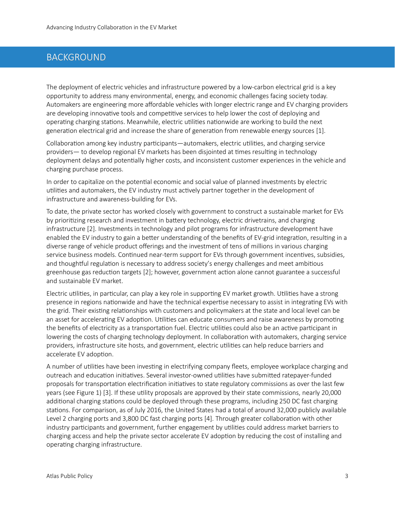## BACKGROUND

The deployment of electric vehicles and infrastructure powered by a low-carbon electrical grid is a key opportunity to address many environmental, energy, and economic challenges facing society today. Automakers are engineering more affordable vehicles with longer electric range and EV charging providers are developing innovative tools and competitive services to help lower the cost of deploying and operating charging stations. Meanwhile, electric utilities nationwide are working to build the next generation electrical grid and increase the share of generation from renewable energy sources [1].

Collaboration among key industry participants—automakers, electric utilities, and charging service providers— to develop regional EV markets has been disjointed at times resulting in technology deployment delays and potentially higher costs, and inconsistent customer experiences in the vehicle and charging purchase process.

In order to capitalize on the potential economic and social value of planned investments by electric utilities and automakers, the EV industry must actively partner together in the development of infrastructure and awareness-building for EVs.

To date, the private sector has worked closely with government to construct a sustainable market for EVs by prioritizing research and investment in battery technology, electric drivetrains, and charging infrastructure [2]. Investments in technology and pilot programs for infrastructure development have enabled the EV industry to gain a better understanding of the benefits of EV-grid integration, resulting in a diverse range of vehicle product offerings and the investment of tens of millions in various charging service business models. Continued near-term support for EVs through government incentives, subsidies, and thoughtful regulation is necessary to address society's energy challenges and meet ambitious greenhouse gas reduction targets [2]; however, government action alone cannot guarantee a successful and sustainable EV market.

Electric utilities, in particular, can play a key role in supporting EV market growth. Utilities have a strong presence in regions nationwide and have the technical expertise necessary to assist in integrating EVs with the grid. Their existing relationships with customers and policymakers at the state and local level can be an asset for accelerating EV adoption. Utilities can educate consumers and raise awareness by promoting the benefits of electricity as a transportation fuel. Electric utilities could also be an active participant in lowering the costs of charging technology deployment. In collaboration with automakers, charging service providers, infrastructure site hosts, and government, electric utilities can help reduce barriers and accelerate EV adoption.

A number of utilities have been investing in electrifying company fleets, employee workplace charging and outreach and education initiatives. Several investor-owned utilities have submitted ratepayer-funded proposals for transportation electrification initiatives to state regulatory commissions as over the last few years (se[e Figure 1\)](#page-3-0) [3]. If these utility proposals are approved by their state commissions, nearly 20,000 additional charging stations could be deployed through these programs, including 250 DC fast charging stations. For comparison, as of July 2016, the United States had a total of around 32,000 publicly available Level 2 charging ports and 3,800 DC fast charging ports [4]. Through greater collaboration with other industry participants and government, further engagement by utilities could address market barriers to charging access and help the private sector accelerate EV adoption by reducing the cost of installing and operating charging infrastructure.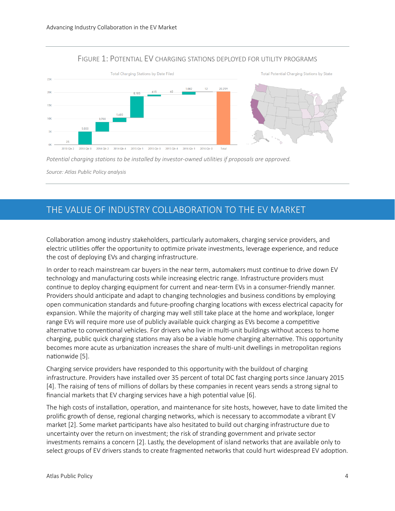#### FIGURE 1: POTENTIAL EV CHARGING STATIONS DEPLOYED FOR UTILITY PROGRAMS

<span id="page-3-0"></span>

*Potential charging stations to be installed by investor-owned utilities if proposals are approved.*

*Source: Atlas Public Policy analysis*

## THE VALUE OF INDUSTRY COLLABORATION TO THE EV MARKET

Collaboration among industry stakeholders, particularly automakers, charging service providers, and electric utilities offer the opportunity to optimize private investments, leverage experience, and reduce the cost of deploying EVs and charging infrastructure.

In order to reach mainstream car buyers in the near term, automakers must continue to drive down EV technology and manufacturing costs while increasing electric range. Infrastructure providers must continue to deploy charging equipment for current and near-term EVs in a consumer-friendly manner. Providers should anticipate and adapt to changing technologies and business conditions by employing open communication standards and future-proofing charging locations with excess electrical capacity for expansion. While the majority of charging may well still take place at the home and workplace, longer range EVs will require more use of publicly available quick charging as EVs become a competitive alternative to conventional vehicles. For drivers who live in multi-unit buildings without access to home charging, public quick charging stations may also be a viable home charging alternative. This opportunity becomes more acute as urbanization increases the share of multi-unit dwellings in metropolitan regions nationwide [5].

Charging service providers have responded to this opportunity with the buildout of charging infrastructure. Providers have installed over 35 percent of total DC fast charging ports since January 2015 [4]. The raising of tens of millions of dollars by these companies in recent years sends a strong signal to financial markets that EV charging services have a high potential value [6].

The high costs of installation, operation, and maintenance for site hosts, however, have to date limited the prolific growth of dense, regional charging networks, which is necessary to accommodate a vibrant EV market [2]. Some market participants have also hesitated to build out charging infrastructure due to uncertainty over the return on investment; the risk of stranding government and private sector investments remains a concern [2]. Lastly, the development of island networks that are available only to select groups of EV drivers stands to create fragmented networks that could hurt widespread EV adoption.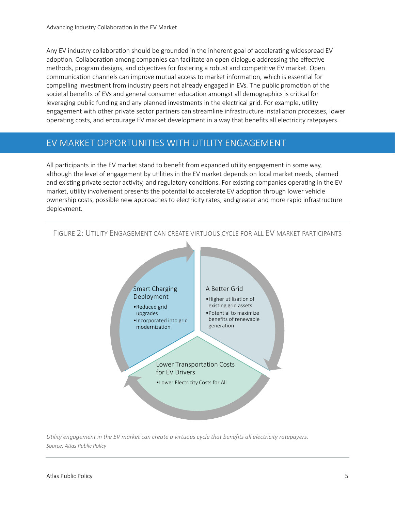Any EV industry collaboration should be grounded in the inherent goal of accelerating widespread EV adoption. Collaboration among companies can facilitate an open dialogue addressing the effective methods, program designs, and objectives for fostering a robust and competitive EV market. Open communication channels can improve mutual access to market information, which is essential for compelling investment from industry peers not already engaged in EVs. The public promotion of the societal benefits of EVs and general consumer education amongst all demographics is critical for leveraging public funding and any planned investments in the electrical grid. For example, utility engagement with other private sector partners can streamline infrastructure installation processes, lower operating costs, and encourage EV market development in a way that benefits all electricity ratepayers.

## EV MARKET OPPORTUNITIES WITH UTILITY ENGAGEMENT

All participants in the EV market stand to benefit from expanded utility engagement in some way, although the level of engagement by utilities in the EV market depends on local market needs, planned and existing private sector activity, and regulatory conditions. For existing companies operating in the EV market, utility involvement presents the potential to accelerate EV adoption through lower vehicle ownership costs, possible new approaches to electricity rates, and greater and more rapid infrastructure deployment.



<span id="page-4-0"></span>FIGURE 2: UTILITY ENGAGEMENT CAN CREATE VIRTUOUS CYCLE FOR ALL EV MARKET PARTICIPANTS

*Utility engagement in the EV market can create a virtuous cycle that benefits all electricity ratepayers. Source: Atlas Public Policy*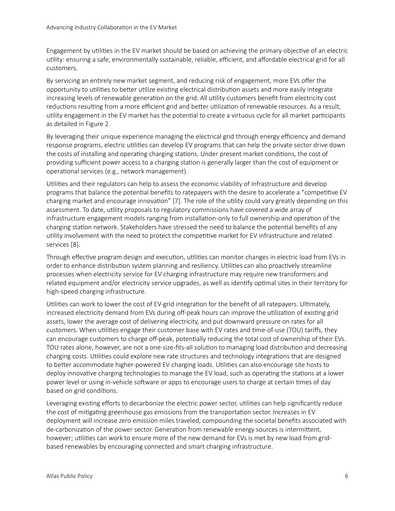Engagement by utilities in the EV market should be based on achieving the primary objective of an electric utility: ensuring a safe, environmentally sustainable, reliable, efficient, and affordable electrical grid for all customers.

By servicing an entirely new market segment, and reducing risk of engagement, more EVs offer the opportunity to utilities to better utilize existing electrical distribution assets and more easily integrate increasing levels of renewable generation on the grid. All utility customers benefit from electricity cost reductions resulting from a more efficient grid and better utilization of renewable resources. As a result, utility engagement in the EV market has the potential to create a virtuous cycle for all market participants as detailed in [Figure 2.](#page-4-0)

By leveraging their unique experience managing the electrical grid through energy efficiency and demand response programs, electric utilities can develop EV programs that can help the private sector drive down the costs of installing and operating charging stations. Under present market conditions, the cost of providing sufficient power access to a charging station is generally larger than the cost of equipment or operational services (e.g., network management).

Utilities and their regulators can help to assess the economic viability of infrastructure and develop programs that balance the potential benefits to ratepayers with the desire to accelerate a "competitive EV charging market and encourage innovation" [7]. The role of the utility could vary greatly depending on this assessment. To date, utility proposals to regulatory commissions have covered a wide array of infrastructure engagement models ranging from installation-only to full ownership and operation of the charging station network. Stakeholders have stressed the need to balance the potential benefits of any utility involvement with the need to protect the competitive market for EV infrastructure and related services [8].

Through effective program design and execution, utilities can monitor changes in electric load from EVs in order to enhance distribution system planning and resiliency. Utilities can also proactively streamline processes when electricity service for EV charging infrastructure may require new transformers and related equipment and/or electricity service upgrades, as well as identify optimal sites in their territory for high-speed charging infrastructure.

Utilities can work to lower the cost of EV-grid integration for the benefit of all ratepayers. Ultimately, increased electricity demand from EVs during off-peak hours can improve the utilization of existing grid assets, lower the average cost of delivering electricity, and put downward pressure on rates for all customers. When utilities engage their customer base with EV rates and time-of-use (TOU) tariffs, they can encourage customers to charge off-peak, potentially reducing the total cost of ownership of their EVs. TOU rates alone, however, are not a one-size-fits-all solution to managing load distribution and decreasing charging costs. Utilities could explore new rate structures and technology integrations that are designed to better accommodate higher-powered EV charging loads. Utilities can also encourage site hosts to deploy innovative charging technologies to manage the EV load, such as operating the stations at a lower power level or using in-vehicle software or apps to encourage users to charge at certain times of day based on grid conditions.

Leveraging existing efforts to decarbonize the electric power sector, utilities can help significantly reduce the cost of mitigating greenhouse gas emissions from the transportation sector. Increases in EV deployment will increase zero emission miles traveled, compounding the societal benefits associated with de-carbonization of the power sector. Generation from renewable energy sources is intermittent, however; utilities can work to ensure more of the new demand for EVs is met by new load from gridbased renewables by encouraging connected and smart charging infrastructure.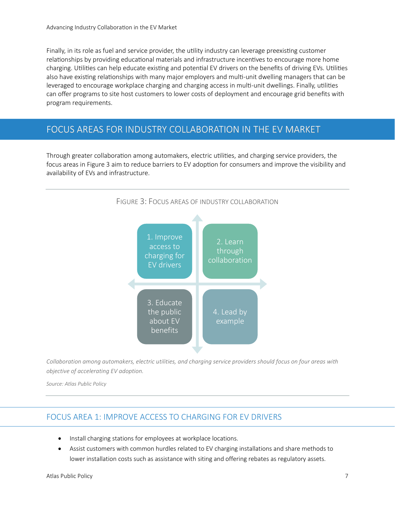Finally, in its role as fuel and service provider, the utility industry can leverage preexisting customer relationships by providing educational materials and infrastructure incentives to encourage more home charging. Utilities can help educate existing and potential EV drivers on the benefits of driving EVs. Utilities also have existing relationships with many major employers and multi-unit dwelling managers that can be leveraged to encourage workplace charging and charging access in multi-unit dwellings. Finally, utilities can offer programs to site host customers to lower costs of deployment and encourage grid benefits with program requirements.

### FOCUS AREAS FOR INDUSTRY COLLABORATION IN THE EV MARKET

<span id="page-6-0"></span>Through greater collaboration among automakers, electric utilities, and charging service providers, the focus areas i[n Figure 3](#page-6-0) aim to reduce barriers to EV adoption for consumers and improve the visibility and availability of EVs and infrastructure.



*Collaboration among automakers, electric utilities, and charging service providers should focus on four areas with objective of accelerating EV adoption.* 

*Source: Atlas Public Policy*

#### FOCUS AREA 1: IMPROVE ACCESS TO CHARGING FOR EV DRIVERS

- Install charging stations for employees at workplace locations.
- Assist customers with common hurdles related to EV charging installations and share methods to lower installation costs such as assistance with siting and offering rebates as regulatory assets.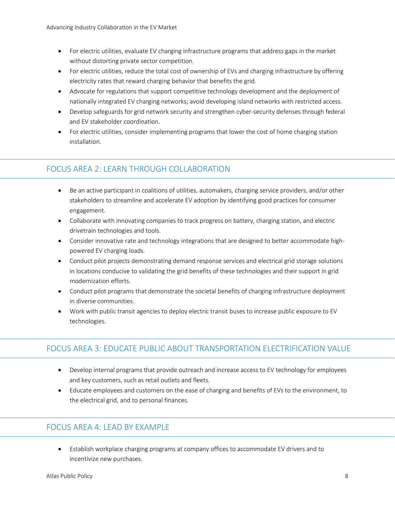- For electric utilities, evaluate EV charging infrastructure programs that address gaps in the market without distorting private sector competition.
- For electric utilities, reduce the total cost of ownership of EVs and charging infrastructure by offering electricity rates that reward charging behavior that benefits the grid.
- Advocate for regulations that support competitive technology development and the deployment of nationally integrated EV charging networks; avoid developing island networks with restricted access.
- Develop safeguards for grid network security and strengthen cyber-security defenses through federal and EV stakeholder coordination.
- For electric utilities, consider implementing programs that lower the cost of home charging station installation.

## FOCUS AREA 2: LEARN THROUGH COLLABORATION

- Be an active participant in coalitions of utilities, automakers, charging service providers, and/or other stakeholders to streamline and accelerate EV adoption by identifying good practices for consumer engagement.
- Collaborate with innovating companies to track progress on battery, charging station, and electric drivetrain technologies and tools.
- Consider innovative rate and technology integrations that are designed to better accommodate highpowered EV charging loads.
- Conduct pilot projects demonstrating demand response services and electrical grid storage solutions in locations conducive to validating the grid benefits of these technologies and their support in grid modernization efforts.
- Conduct pilot programs that demonstrate the societal benefits of charging infrastructure deployment in diverse communities.
- Work with public transit agencies to deploy electric transit buses to increase public exposure to EV technologies.

## FOCUS AREA 3: EDUCATE PUBLIC ABOUT TRANSPORTATION ELECTRIFICATION VALUE

- Develop internal programs that provide outreach and increase access to EV technology for employees and key customers, such as retail outlets and fleets.
- Educate employees and customers on the ease of charging and benefits of EVs to the environment, to the electrical grid, and to personal finances.

#### FOCUS AREA 4: LEAD BY EXAMPLE

• Establish workplace charging programs at company offices to accommodate EV drivers and to incentivize new purchases.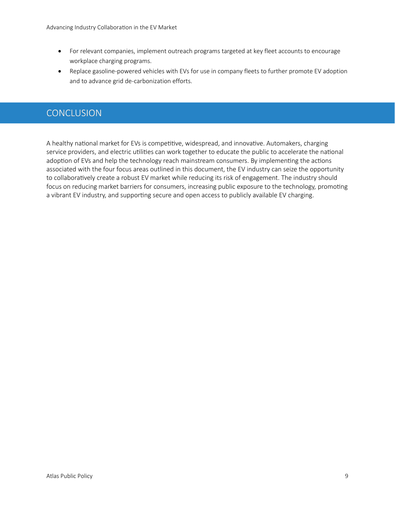- For relevant companies, implement outreach programs targeted at key fleet accounts to encourage workplace charging programs.
- Replace gasoline-powered vehicles with EVs for use in company fleets to further promote EV adoption and to advance grid de-carbonization efforts.

## **CONCLUSION**

A healthy national market for EVs is competitive, widespread, and innovative. Automakers, charging service providers, and electric utilities can work together to educate the public to accelerate the national adoption of EVs and help the technology reach mainstream consumers. By implementing the actions associated with the four focus areas outlined in this document, the EV industry can seize the opportunity to collaboratively create a robust EV market while reducing its risk of engagement. The industry should focus on reducing market barriers for consumers, increasing public exposure to the technology, promoting a vibrant EV industry, and supporting secure and open access to publicly available EV charging.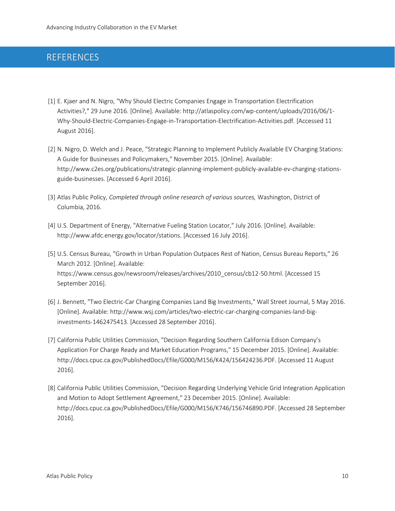## REFERENCES

- [1] E. Kjaer and N. Nigro, "Why Should Electric Companies Engage in Transportation Electrification Activities?," 29 June 2016. [Online]. Available: http://atlaspolicy.com/wp-content/uploads/2016/06/1- Why-Should-Electric-Companies-Engage-in-Transportation-Electrification-Activities.pdf. [Accessed 11 August 2016].
- [2] N. Nigro, D. Welch and J. Peace, "Strategic Planning to Implement Publicly Available EV Charging Stations: A Guide for Businesses and Policymakers," November 2015. [Online]. Available: http://www.c2es.org/publications/strategic-planning-implement-publicly-available-ev-charging-stationsguide-businesses. [Accessed 6 April 2016].
- [3] Atlas Public Policy, *Completed through online research of various sources,* Washington, District of Columbia, 2016.
- [4] U.S. Department of Energy, "Alternative Fueling Station Locator," July 2016. [Online]. Available: http://www.afdc.energy.gov/locator/stations. [Accessed 16 July 2016].
- [5] U.S. Census Bureau, "Growth in Urban Population Outpaces Rest of Nation, Census Bureau Reports," 26 March 2012. [Online]. Available: https://www.census.gov/newsroom/releases/archives/2010\_census/cb12-50.html. [Accessed 15 September 2016].
- [6] J. Bennett, "Two Electric-Car Charging Companies Land Big Investments," Wall Street Journal, 5 May 2016. [Online]. Available: http://www.wsj.com/articles/two-electric-car-charging-companies-land-biginvestments-1462475413. [Accessed 28 September 2016].
- [7] California Public Utilities Commission, "Decision Regarding Southern California Edison Company's Application For Charge Ready and Market Education Programs," 15 December 2015. [Online]. Available: http://docs.cpuc.ca.gov/PublishedDocs/Efile/G000/M156/K424/156424236.PDF. [Accessed 11 August 2016].
- [8] California Public Utilities Commission, "Decision Regarding Underlying Vehicle Grid Integration Application and Motion to Adopt Settlement Agreement," 23 December 2015. [Online]. Available: http://docs.cpuc.ca.gov/PublishedDocs/Efile/G000/M156/K746/156746890.PDF. [Accessed 28 September 2016].